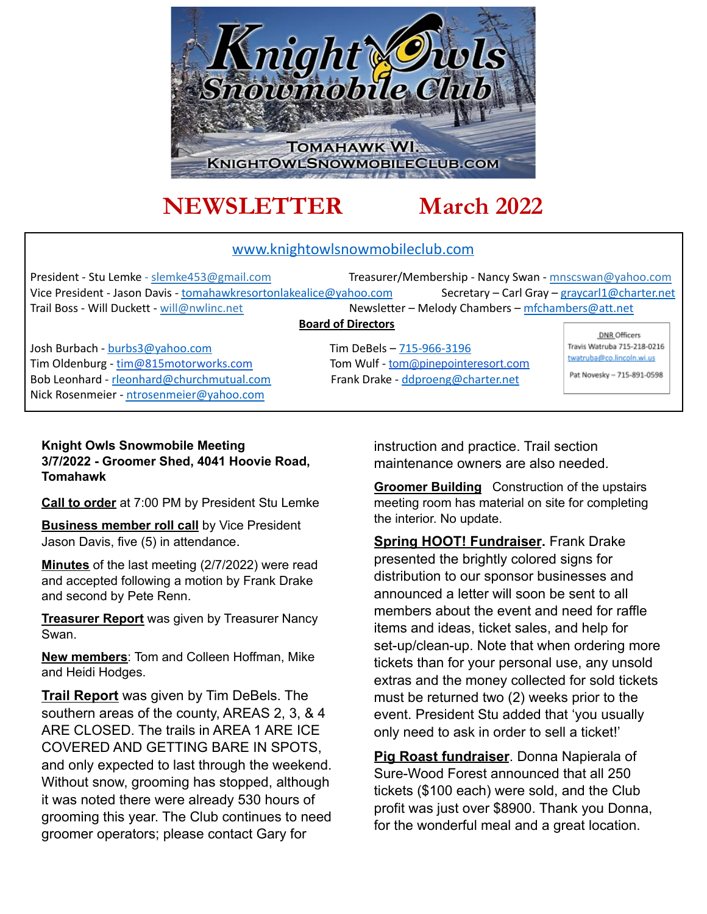

# **NEWSLETTER March 2022**

#### www.knightowlsnowmobileclub.com

President - Stu Lemke - slemke453@gmail.com Treasurer/Membership - Nancy Swan - mnscswan@yahoo.com Vice President - Jason Davis - tomahawkresortonlakealice@yahoo.com Secretary – Carl Gray – graycarl1@charter.net Trail Boss - Will Duckett - will@nwlinc.net Newsletter – Melody Chambers – mfchambers@att.net

#### **Board of Directors**

Josh Burbach - burbs3@yahoo.com Tim DeBels – 715-966-3196 Tim Oldenburg - [tim@815motorworks.com](mailto:tim@815motorworks.com) Tom Wulf - [tom@pinepointeresort.com](mailto:tom@pinepointeresort.com) Bob Leonhard - rleonhard@churchmutual.com Frank Drake - ddproeng@charter.net Nick Rosenmeier - ntrosenmeier@yahoo.com

DNR Officers Travis Watruba 715-218-0216 twatruba@co.lincoln.wi.us Pat Novesky - 715-891-0598

#### **Knight Owls Snowmobile Meeting 3/7/2022 - Groomer Shed, 4041 Hoovie Road, Tomahawk**

**Call to order** at 7:00 PM by President Stu Lemke

**Business member roll call** by Vice President Jason Davis, five (5) in attendance.

**Minutes** of the last meeting (2/7/2022) were read and accepted following a motion by Frank Drake and second by Pete Renn.

**Treasurer Report** was given by Treasurer Nancy Swan.

**New members**: Tom and Colleen Hoffman, Mike and Heidi Hodges.

**Trail Report** was given by Tim DeBels. The southern areas of the county, AREAS 2, 3, & 4 ARE CLOSED. The trails in AREA 1 ARE ICE COVERED AND GETTING BARE IN SPOTS, and only expected to last through the weekend. Without snow, grooming has stopped, although it was noted there were already 530 hours of grooming this year. The Club continues to need groomer operators; please contact Gary for

instruction and practice. Trail section maintenance owners are also needed.

**Groomer Building** Construction of the upstairs meeting room has material on site for completing the interior. No update.

**Spring HOOT! Fundraiser.** Frank Drake presented the brightly colored signs for distribution to our sponsor businesses and announced a letter will soon be sent to all members about the event and need for raffle items and ideas, ticket sales, and help for set-up/clean-up. Note that when ordering more tickets than for your personal use, any unsold extras and the money collected for sold tickets must be returned two (2) weeks prior to the event. President Stu added that 'you usually only need to ask in order to sell a ticket!'

**Pig Roast fundraiser**. Donna Napierala of Sure-Wood Forest announced that all 250 tickets (\$100 each) were sold, and the Club profit was just over \$8900. Thank you Donna, for the wonderful meal and a great location.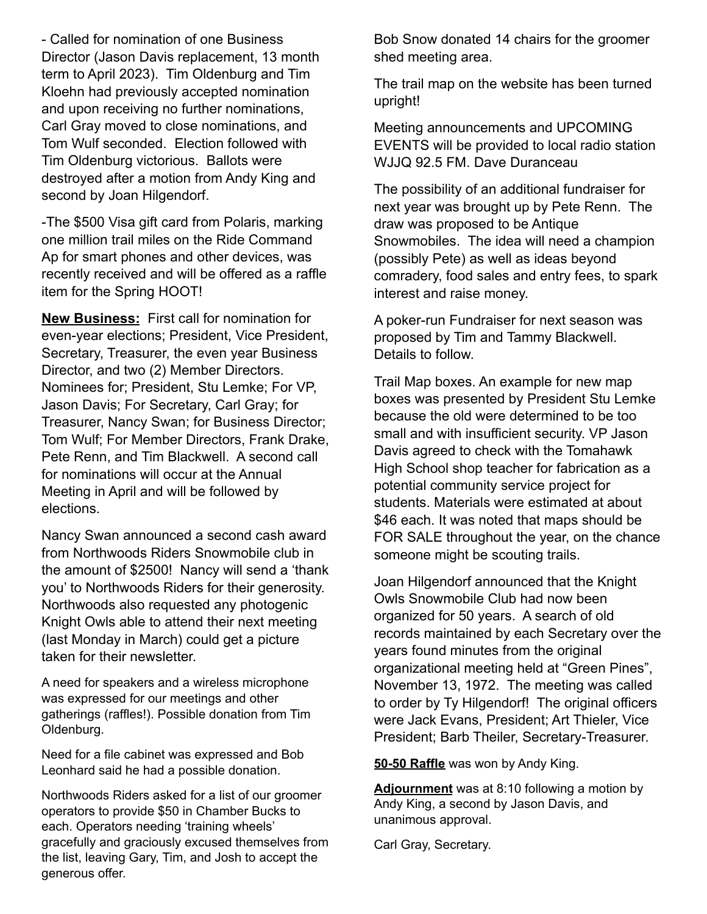- Called for nomination of one Business Director (Jason Davis replacement, 13 month term to April 2023). Tim Oldenburg and Tim Kloehn had previously accepted nomination and upon receiving no further nominations, Carl Gray moved to close nominations, and Tom Wulf seconded. Election followed with Tim Oldenburg victorious. Ballots were destroyed after a motion from Andy King and second by Joan Hilgendorf.

-The \$500 Visa gift card from Polaris, marking one million trail miles on the Ride Command Ap for smart phones and other devices, was recently received and will be offered as a raffle item for the Spring HOOT!

**New Business:** First call for nomination for even-year elections; President, Vice President, Secretary, Treasurer, the even year Business Director, and two (2) Member Directors. Nominees for; President, Stu Lemke; For VP, Jason Davis; For Secretary, Carl Gray; for Treasurer, Nancy Swan; for Business Director; Tom Wulf; For Member Directors, Frank Drake, Pete Renn, and Tim Blackwell. A second call for nominations will occur at the Annual Meeting in April and will be followed by elections.

Nancy Swan announced a second cash award from Northwoods Riders Snowmobile club in the amount of \$2500! Nancy will send a 'thank you' to Northwoods Riders for their generosity. Northwoods also requested any photogenic Knight Owls able to attend their next meeting (last Monday in March) could get a picture taken for their newsletter

A need for speakers and a wireless microphone was expressed for our meetings and other gatherings (raffles!). Possible donation from Tim Oldenburg.

Need for a file cabinet was expressed and Bob Leonhard said he had a possible donation.

Northwoods Riders asked for a list of our groomer operators to provide \$50 in Chamber Bucks to each. Operators needing 'training wheels' gracefully and graciously excused themselves from the list, leaving Gary, Tim, and Josh to accept the generous offer.

Bob Snow donated 14 chairs for the groomer shed meeting area.

The trail map on the website has been turned upright!

Meeting announcements and UPCOMING EVENTS will be provided to local radio station WJJQ 92.5 FM. Dave Duranceau

The possibility of an additional fundraiser for next year was brought up by Pete Renn. The draw was proposed to be Antique Snowmobiles. The idea will need a champion (possibly Pete) as well as ideas beyond comradery, food sales and entry fees, to spark interest and raise money.

A poker-run Fundraiser for next season was proposed by Tim and Tammy Blackwell. Details to follow.

Trail Map boxes. An example for new map boxes was presented by President Stu Lemke because the old were determined to be too small and with insufficient security. VP Jason Davis agreed to check with the Tomahawk High School shop teacher for fabrication as a potential community service project for students. Materials were estimated at about \$46 each. It was noted that maps should be FOR SALE throughout the year, on the chance someone might be scouting trails.

Joan Hilgendorf announced that the Knight Owls Snowmobile Club had now been organized for 50 years. A search of old records maintained by each Secretary over the years found minutes from the original organizational meeting held at "Green Pines", November 13, 1972. The meeting was called to order by Ty Hilgendorf! The original officers were Jack Evans, President; Art Thieler, Vice President; Barb Theiler, Secretary-Treasurer.

**50-50 Raffle** was won by Andy King.

**Adjournment** was at 8:10 following a motion by Andy King, a second by Jason Davis, and unanimous approval.

Carl Gray, Secretary.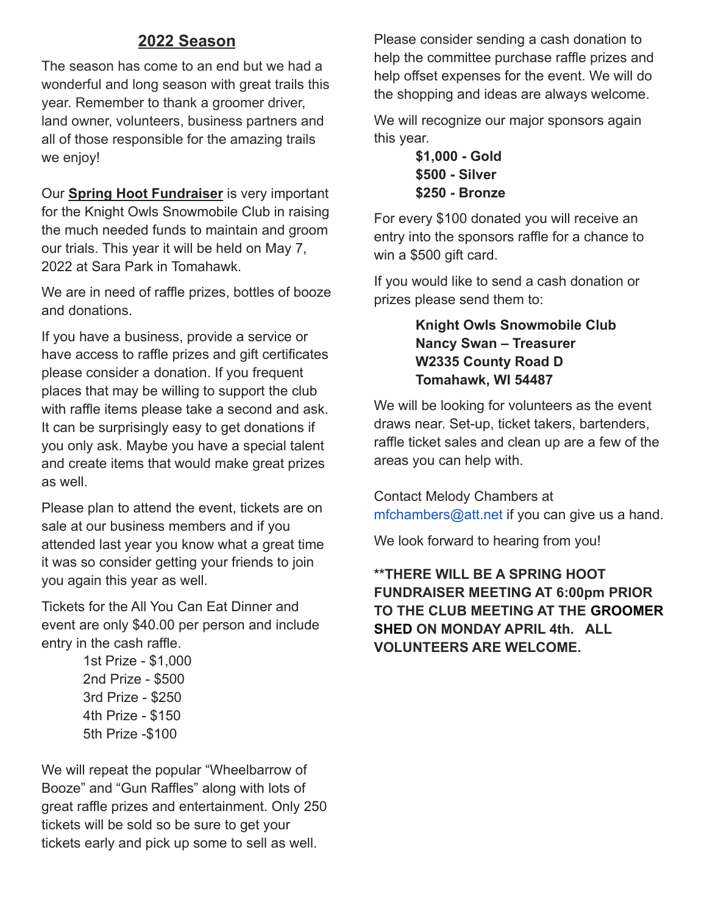## **2022 Season**

The season has come to an end but we had a wonderful and long season with great trails this year. Remember to thank a groomer driver, land owner, volunteers, business partners and all of those responsible for the amazing trails we enjoy!

Our **Spring Hoot Fundraiser** is very important for the Knight Owls Snowmobile Club in raising the much needed funds to maintain and groom our trials. This year it will be held on May 7, 2022 at Sara Park in Tomahawk.

We are in need of raffle prizes, bottles of booze and donations.

If you have a business, provide a service or have access to raffle prizes and gift certificates please consider a donation. If you frequent places that may be willing to support the club with raffle items please take a second and ask. It can be surprisingly easy to get donations if you only ask. Maybe you have a special talent and create items that would make great prizes as well.

Please plan to attend the event, tickets are on sale at our business members and if you attended last year you know what a great time it was so consider getting your friends to join you again this year as well.

Tickets for the All You Can Eat Dinner and event are only \$40.00 per person and include entry in the cash raffle.

> 1st Prize - \$1,000 2nd Prize - \$500 3rd Prize - \$250 4th Prize - \$150 5th Prize -\$100

We will repeat the popular "Wheelbarrow of Booze" and "Gun Raffles" along with lots of great raffle prizes and entertainment. Only 250 tickets will be sold so be sure to get your tickets early and pick up some to sell as well.

Please consider sending a cash donation to help the committee purchase raffle prizes and help offset expenses for the event. We will do the shopping and ideas are always welcome.

We will recognize our major sponsors again this year.

> **\$1,000 - Gold \$500 - Silver \$250 - Bronze**

For every \$100 donated you will receive an entry into the sponsors raffle for a chance to win a \$500 gift card.

If you would like to send a cash donation or prizes please send them to:

#### **Knight Owls Snowmobile Club Nancy Swan – Treasurer W2335 County Road D Tomahawk, WI 54487**

We will be looking for volunteers as the event draws near. Set-up, ticket takers, bartenders, raffle ticket sales and clean up are a few of the areas you can help with.

Contact Melody Chambers at mfchambers@att.net if you can give us a hand.

We look forward to hearing from you!

#### **\*\*THERE WILL BE A SPRING HOOT FUNDRAISER MEETING AT 6:00pm PRIOR TO THE CLUB MEETING AT THE GROOMER SHED ON MONDAY APRIL 4th. ALL VOLUNTEERS ARE WELCOME.**